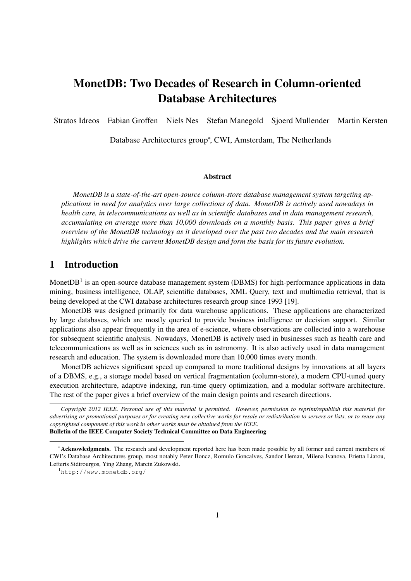# MonetDB: Two Decades of Research in Column-oriented Database Architectures

Stratos Idreos Fabian Groffen Niels Nes Stefan Manegold Sjoerd Mullender Martin Kersten

Database Architectures group*<sup>∗</sup>* , CWI, Amsterdam, The Netherlands

#### Abstract

*MonetDB is a state-of-the-art open-source column-store database management system targeting applications in need for analytics over large collections of data. MonetDB is actively used nowadays in health care, in telecommunications as well as in scientific databases and in data management research, accumulating on average more than 10,000 downloads on a monthly basis. This paper gives a brief overview of the MonetDB technology as it developed over the past two decades and the main research highlights which drive the current MonetDB design and form the basis for its future evolution.*

## 1 Introduction

MonetDB<sup>1</sup> is an open-source database management system (DBMS) for high-performance applications in data mining, business intelligence, OLAP, scientific databases, XML Query, text and multimedia retrieval, that is being developed at the CWI database architectures research group since 1993 [19].

MonetDB was designed primarily for data warehouse applications. These applications are characterized by large databases, which are mostly queried to provide business intelligence or decision support. Similar applications also appear frequently in the area of e-science, where observations are collected into a warehouse for subsequent scientific analysis. Nowadays, MonetDB is actively used in businesses such as health care and telecommunications as well as in sciences such as in astronomy. It is also actively used in data management research and education. The system is downloaded more than 10,000 times every month.

MonetDB achieves significant speed up compared to more traditional designs by innovations at all layers of a DBMS, e.g., a storage model based on vertical fragmentation (column-store), a modern CPU-tuned query execution architecture, adaptive indexing, run-time query optimization, and a modular software architecture. The rest of the paper gives a brief overview of the main design points and research directions.

*Copyright 2012 IEEE. Personal use of this material is permitted. However, permission to reprint/republish this material for advertising or promotional purposes or for creating new collective works for resale or redistribution to servers or lists, or to reuse any copyrighted component of this work in other works must be obtained from the IEEE.* Bulletin of the IEEE Computer Society Technical Committee on Data Engineering

*<sup>∗</sup>*Acknowledgments. The research and development reported here has been made possible by all former and current members of CWI's Database Architectures group, most notably Peter Boncz, Romulo Goncalves, Sandor Heman, Milena Ivanova, Erietta Liarou, Lefteris Sidirourgos, Ying Zhang, Marcin Zukowski.

<sup>1</sup>http://www.monetdb.org/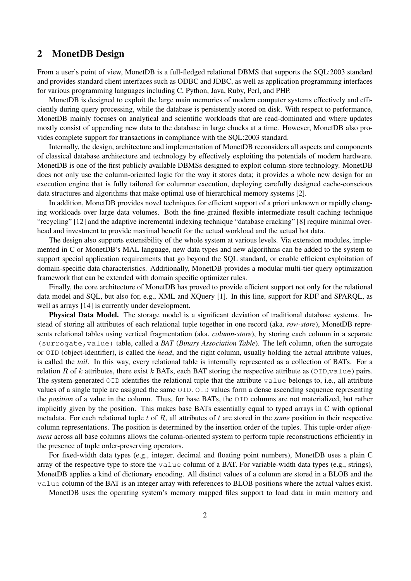### 2 MonetDB Design

From a user's point of view, MonetDB is a full-fledged relational DBMS that supports the SQL:2003 standard and provides standard client interfaces such as ODBC and JDBC, as well as application programming interfaces for various programming languages including C, Python, Java, Ruby, Perl, and PHP.

MonetDB is designed to exploit the large main memories of modern computer systems effectively and efficiently during query processing, while the database is persistently stored on disk. With respect to performance, MonetDB mainly focuses on analytical and scientific workloads that are read-dominated and where updates mostly consist of appending new data to the database in large chucks at a time. However, MonetDB also provides complete support for transactions in compliance with the SQL:2003 standard.

Internally, the design, architecture and implementation of MonetDB reconsiders all aspects and components of classical database architecture and technology by effectively exploiting the potentials of modern hardware. MonetDB is one of the first publicly available DBMSs designed to exploit column-store technology. MonetDB does not only use the column-oriented logic for the way it stores data; it provides a whole new design for an execution engine that is fully tailored for columnar execution, deploying carefully designed cache-conscious data structures and algorithms that make optimal use of hierarchical memory systems [2].

In addition, MonetDB provides novel techniques for efficient support of a priori unknown or rapidly changing workloads over large data volumes. Both the fine-grained flexible intermediate result caching technique "recycling" [12] and the adaptive incremental indexing technique "database cracking" [8] require minimal overhead and investment to provide maximal benefit for the actual workload and the actual hot data.

The design also supports extensibility of the whole system at various levels. Via extension modules, implemented in C or MonetDB's MAL language, new data types and new algorithms can be added to the system to support special application requirements that go beyond the SQL standard, or enable efficient exploitation of domain-specific data characteristics. Additionally, MonetDB provides a modular multi-tier query optimization framework that can be extended with domain specific optimizer rules.

Finally, the core architecture of MonetDB has proved to provide efficient support not only for the relational data model and SQL, but also for, e.g., XML and XQuery [1]. In this line, support for RDF and SPARQL, as well as arrays [14] is currently under development.

Physical Data Model. The storage model is a significant deviation of traditional database systems. Instead of storing all attributes of each relational tuple together in one record (aka. *row-store*), MonetDB represents relational tables using vertical fragmentation (aka. *column-store*), by storing each column in a separate (surrogate,value) table, called a *BAT* (*Binary Association Table*). The left column, often the surrogate or OID (object-identifier), is called the *head*, and the right column, usually holding the actual attribute values, is called the *tail*. In this way, every relational table is internally represented as a collection of BATs. For a relation *R* of *k* attributes, there exist *k* BATs, each BAT storing the respective attribute as  $(OLD, value)$  pairs. The system-generated OID identifies the relational tuple that the attribute value belongs to, i.e., all attribute values of a single tuple are assigned the same OID. OID values form a dense ascending sequence representing the *position* of a value in the column. Thus, for base BATs, the OID columns are not materialized, but rather implicitly given by the position. This makes base BATs essentially equal to typed arrays in C with optional metadata. For each relational tuple *t* of *R*, all attributes of *t* are stored in the *same* position in their respective column representations. The position is determined by the insertion order of the tuples. This tuple-order *alignment* across all base columns allows the column-oriented system to perform tuple reconstructions efficiently in the presence of tuple order-preserving operators.

For fixed-width data types (e.g., integer, decimal and floating point numbers), MonetDB uses a plain C array of the respective type to store the value column of a BAT. For variable-width data types (e.g., strings), MonetDB applies a kind of dictionary encoding. All distinct values of a column are stored in a BLOB and the value column of the BAT is an integer array with references to BLOB positions where the actual values exist.

MonetDB uses the operating system's memory mapped files support to load data in main memory and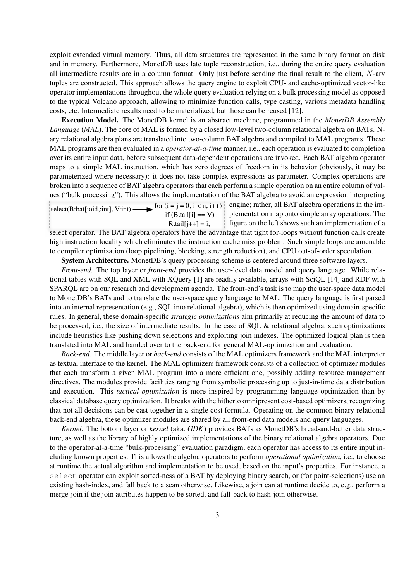exploit extended virtual memory. Thus, all data structures are represented in the same binary format on disk and in memory. Furthermore, MonetDB uses late tuple reconstruction, i.e., during the entire query evaluation all intermediate results are in a column format. Only just before sending the final result to the client, *N*-ary tuples are constructed. This approach allows the query engine to exploit CPU- and cache-optimized vector-like operator implementations throughout the whole query evaluation relying on a bulk processing model as opposed to the typical Volcano approach, allowing to minimize function calls, type casting, various metadata handling costs, etc. Intermediate results need to be materialized, but those can be reused [12].

Execution Model. The MonetDB kernel is an abstract machine, programmed in the *MonetDB Assembly Language* (*MAL*). The core of MAL is formed by a closed low-level two-column relational algebra on BATs. Nary relational algebra plans are translated into two-column BAT algebra and compiled to MAL programs. These MAL programs are then evaluated in a *operator-at-a-time* manner, i.e., each operation is evaluated to completion over its entire input data, before subsequent data-dependent operations are invoked. Each BAT algebra operator maps to a simple MAL instruction, which has zero degrees of freedom in its behavior (obviously, it may be parameterized where necessary): it does not take complex expressions as parameter. Complex operations are broken into a sequence of BAT algebra operators that each perform a simple operation on an entire column of values ("bulk processing"). This allows the implementation of the BAT algebra to avoid an expression interpreting select(B:bat[:oid,:int], V:int) for  $(i = j = 0; i < n; i++)$  engine; rather, all BAT algebra operations in the imif  $(B.tail[i] == V)$ 

 $R.tail[j++] = i;$ select operator. The BAT algebra operators have the advantage that tight for-loops without function calls create

plementation map onto simple array operations. The figure on the left shows such an implementation of a

high instruction locality which eliminates the instruction cache miss problem. Such simple loops are amenable to compiler optimization (loop pipelining, blocking, strength reduction), and CPU out-of-order speculation.

System Architecture. MonetDB's query processing scheme is centered around three software layers.

*Front-end.* The top layer or *front-end* provides the user-level data model and query language. While relational tables with SQL and XML with XQuery [1] are readily available, arrays with SciQL [14] and RDF with SPARQL are on our research and development agenda. The front-end's task is to map the user-space data model to MonetDB's BATs and to translate the user-space query language to MAL. The query language is first parsed into an internal representation (e.g., SQL into relational algebra), which is then optimized using domain-specific rules. In general, these domain-specific *strategic optimizations* aim primarily at reducing the amount of data to be processed, i.e., the size of intermediate results. In the case of SQL & relational algebra, such optimizations include heuristics like pushing down selections and exploiting join indexes. The optimized logical plan is then translated into MAL and handed over to the back-end for general MAL-optimization and evaluation.

*Back-end.* The middle layer or *back-end* consists of the MAL optimizers framework and the MAL interpreter as textual interface to the kernel. The MAL optimizers framework consists of a collection of optimizer modules that each transform a given MAL program into a more efficient one, possibly adding resource management directives. The modules provide facilities ranging from symbolic processing up to just-in-time data distribution and execution. This *tactical optimization* is more inspired by programming language optimization than by classical database query optimization. It breaks with the hitherto omnipresent cost-based optimizers, recognizing that not all decisions can be cast together in a single cost formula. Operating on the common binary-relational back-end algebra, these optimizer modules are shared by all front-end data models and query languages.

*Kernel.* The bottom layer or *kernel* (aka. *GDK*) provides BATs as MonetDB's bread-and-butter data structure, as well as the library of highly optimized implementations of the binary relational algebra operators. Due to the operator-at-a-time "bulk-processing" evaluation paradigm, each operator has access to its entire input including known properties. This allows the algebra operators to perform *operational optimization*, i.e., to choose at runtime the actual algorithm and implementation to be used, based on the input's properties. For instance, a select operator can exploit sorted-ness of a BAT by deploying binary search, or (for point-selections) use an existing hash-index, and fall back to a scan otherwise. Likewise, a join can at runtime decide to, e.g., perform a merge-join if the join attributes happen to be sorted, and fall-back to hash-join otherwise.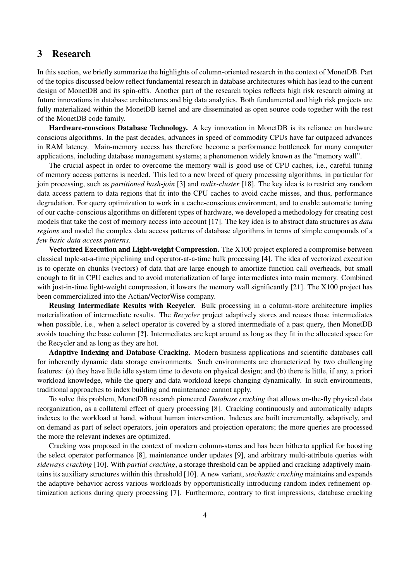### 3 Research

In this section, we briefly summarize the highlights of column-oriented research in the context of MonetDB. Part of the topics discussed below reflect fundamental research in database architectures which has lead to the current design of MonetDB and its spin-offs. Another part of the research topics reflects high risk research aiming at future innovations in database architectures and big data analytics. Both fundamental and high risk projects are fully materialized within the MonetDB kernel and are disseminated as open source code together with the rest of the MonetDB code family.

Hardware-conscious Database Technology. A key innovation in MonetDB is its reliance on hardware conscious algorithms. In the past decades, advances in speed of commodity CPUs have far outpaced advances in RAM latency. Main-memory access has therefore become a performance bottleneck for many computer applications, including database management systems; a phenomenon widely known as the "memory wall".

The crucial aspect in order to overcome the memory wall is good use of CPU caches, i.e., careful tuning of memory access patterns is needed. This led to a new breed of query processing algorithms, in particular for join processing, such as *partitioned hash-join* [3] and *radix-cluster* [18]. The key idea is to restrict any random data access pattern to data regions that fit into the CPU caches to avoid cache misses, and thus, performance degradation. For query optimization to work in a cache-conscious environment, and to enable automatic tuning of our cache-conscious algorithms on different types of hardware, we developed a methodology for creating cost models that take the cost of memory access into account [17]. The key idea is to abstract data structures as *data regions* and model the complex data access patterns of database algorithms in terms of simple compounds of a *few basic data access patterns*.

Vectorized Execution and Light-weight Compression. The X100 project explored a compromise between classical tuple-at-a-time pipelining and operator-at-a-time bulk processing [4]. The idea of vectorized execution is to operate on chunks (vectors) of data that are large enough to amortize function call overheads, but small enough to fit in CPU caches and to avoid materialization of large intermediates into main memory. Combined with just-in-time light-weight compression, it lowers the memory wall significantly [21]. The X100 project has been commercialized into the Actian/VectorWise company.

Reusing Intermediate Results with Recycler. Bulk processing in a column-store architecture implies materialization of intermediate results. The *Recycler* project adaptively stores and reuses those intermediates when possible, i.e., when a select operator is covered by a stored intermediate of a past query, then MonetDB avoids touching the base column [?]. Intermediates are kept around as long as they fit in the allocated space for the Recycler and as long as they are hot.

Adaptive Indexing and Database Cracking. Modern business applications and scientific databases call for inherently dynamic data storage environments. Such environments are characterized by two challenging features: (a) they have little idle system time to devote on physical design; and (b) there is little, if any, a priori workload knowledge, while the query and data workload keeps changing dynamically. In such environments, traditional approaches to index building and maintenance cannot apply.

To solve this problem, MonetDB research pioneered *Database cracking* that allows on-the-fly physical data reorganization, as a collateral effect of query processing [8]. Cracking continuously and automatically adapts indexes to the workload at hand, without human intervention. Indexes are built incrementally, adaptively, and on demand as part of select operators, join operators and projection operators; the more queries are processed the more the relevant indexes are optimized.

Cracking was proposed in the context of modern column-stores and has been hitherto applied for boosting the select operator performance [8], maintenance under updates [9], and arbitrary multi-attribute queries with *sideways cracking* [10]. With *partial cracking*, a storage threshold can be applied and cracking adaptively maintains its auxiliary structures within this threshold [10]. A new variant, *stochastic cracking* maintains and expands the adaptive behavior across various workloads by opportunistically introducing random index refinement optimization actions during query processing [7]. Furthermore, contrary to first impressions, database cracking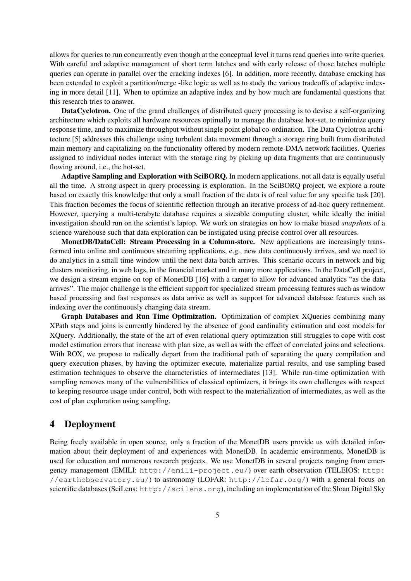allows for queries to run concurrently even though at the conceptual level it turns read queries into write queries. With careful and adaptive management of short term latches and with early release of those latches multiple queries can operate in parallel over the cracking indexes [6]. In addition, more recently, database cracking has been extended to exploit a partition/merge -like logic as well as to study the various tradeoffs of adaptive indexing in more detail [11]. When to optimize an adaptive index and by how much are fundamental questions that this research tries to answer.

DataCyclotron. One of the grand challenges of distributed query processing is to devise a self-organizing architecture which exploits all hardware resources optimally to manage the database hot-set, to minimize query response time, and to maximize throughput without single point global co-ordination. The Data Cyclotron architecture [5] addresses this challenge using turbulent data movement through a storage ring built from distributed main memory and capitalizing on the functionality offered by modern remote-DMA network facilities. Queries assigned to individual nodes interact with the storage ring by picking up data fragments that are continuously flowing around, i.e., the hot-set.

Adaptive Sampling and Exploration with SciBORQ. In modern applications, not all data is equally useful all the time. A strong aspect in query processing is exploration. In the SciBORQ project, we explore a route based on exactly this knowledge that only a small fraction of the data is of real value for any specific task [20]. This fraction becomes the focus of scientific reflection through an iterative process of ad-hoc query refinement. However, querying a multi-terabyte database requires a sizeable computing cluster, while ideally the initial investigation should run on the scientist's laptop. We work on strategies on how to make biased *snapshots* of a science warehouse such that data exploration can be instigated using precise control over all resources.

MonetDB/DataCell: Stream Processing in a Column-store. New applications are increasingly transformed into online and continuous streaming applications, e.g., new data continuously arrives, and we need to do analytics in a small time window until the next data batch arrives. This scenario occurs in network and big clusters monitoring, in web logs, in the financial market and in many more applications. In the DataCell project, we design a stream engine on top of MonetDB [16] with a target to allow for advanced analytics "as the data arrives". The major challenge is the efficient support for specialized stream processing features such as window based processing and fast responses as data arrive as well as support for advanced database features such as indexing over the continuously changing data stream.

Graph Databases and Run Time Optimization. Optimization of complex XQueries combining many XPath steps and joins is currently hindered by the absence of good cardinality estimation and cost models for XQuery. Additionally, the state of the art of even relational query optimization still struggles to cope with cost model estimation errors that increase with plan size, as well as with the effect of correlated joins and selections. With ROX, we propose to radically depart from the traditional path of separating the query compilation and query execution phases, by having the optimizer execute, materialize partial results, and use sampling based estimation techniques to observe the characteristics of intermediates [13]. While run-time optimization with sampling removes many of the vulnerabilities of classical optimizers, it brings its own challenges with respect to keeping resource usage under control, both with respect to the materialization of intermediates, as well as the cost of plan exploration using sampling.

#### 4 Deployment

Being freely available in open source, only a fraction of the MonetDB users provide us with detailed information about their deployment of and experiences with MonetDB. In academic environments, MonetDB is used for education and numerous research projects. We use MonetDB in several projects ranging from emergency management (EMILI: http://emili-project.eu/) over earth observation (TELEIOS: http: //earthobservatory.eu/) to astronomy (LOFAR: http://lofar.org/) with a general focus on scientific databases (SciLens: http://scilens.org), including an implementation of the Sloan Digital Sky